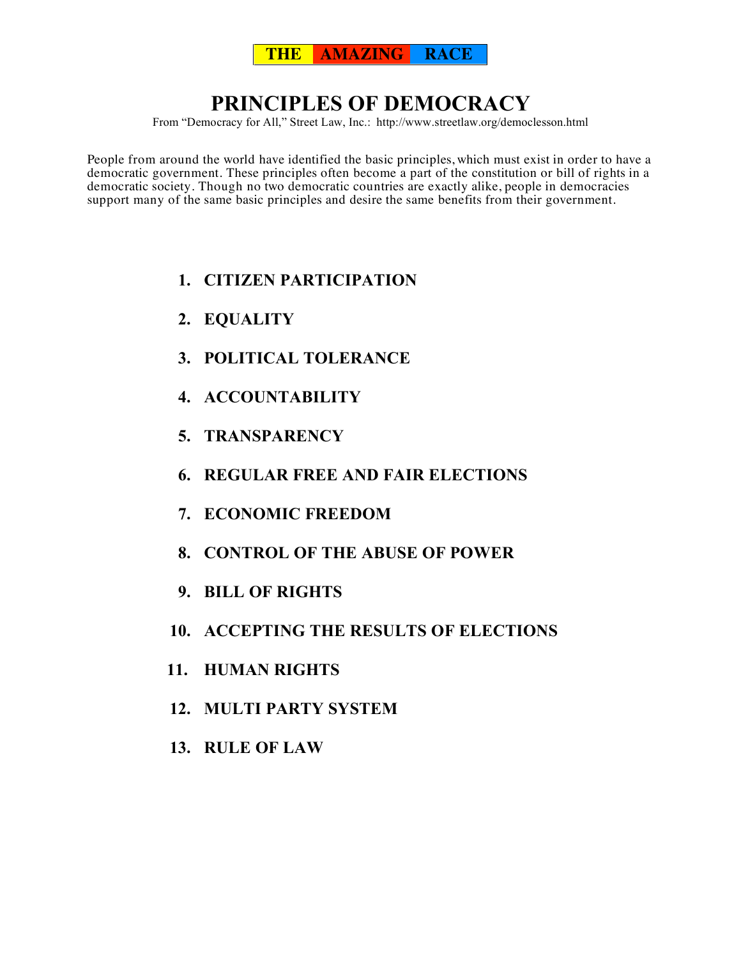

# **PRINCIPLES OF DEMOCRACY**

From "Democracy for All," Street Law, Inc.: http://www.streetlaw.org/democlesson.html

People from around the world have identified the basic principles, which must exist in order to have a democratic government. These principles often become a part of the constitution or bill of rights in a democratic society. Though no two democratic countries are exactly alike, people in democracies support many of the same basic principles and desire the same benefits from their government.

- **1. CITIZEN PARTICIPATION**
- **2. EQUALITY**
- **3. POLITICAL TOLERANCE**
- **4. ACCOUNTABILITY**
- **5. TRANSPARENCY**
- **6. REGULAR FREE AND FAIR ELECTIONS**
- **7. ECONOMIC FREEDOM**
- **8. CONTROL OF THE ABUSE OF POWER**
- **9. BILL OF RIGHTS**
- **10. ACCEPTING THE RESULTS OF ELECTIONS**
- **11. HUMAN RIGHTS**
- **12. MULTI PARTY SYSTEM**
- **13. RULE OF LAW**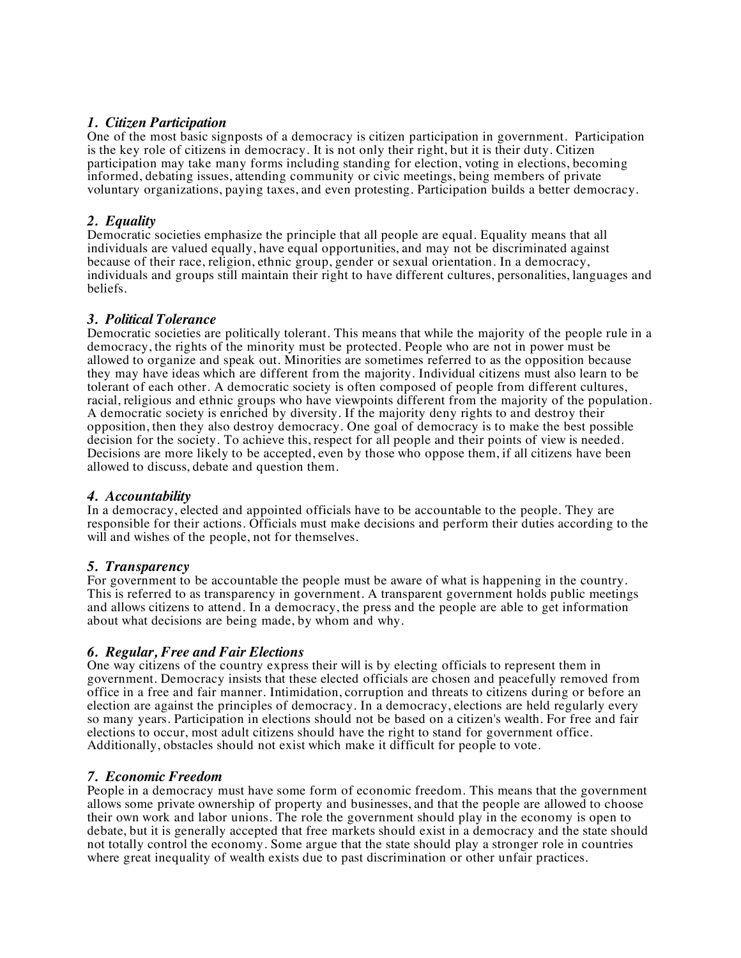# *1. Citizen Participation*

One of the most basic signposts of a democracy is citizen participation in government. Participation is the key role of citizens in democracy. It is not only their right, but it is their duty. Citizen participation may take many forms including standing for election, voting in elections, becoming informed, debating issues, attending community or civic meetings, being members of private voluntary organizations, paying taxes, and even protesting. Participation builds a better democracy.

# *2. Equality*

Democratic societies emphasize the principle that all people are equal. Equality means that all individuals are valued equally, have equal opportunities, and may not be discriminated against because of their race, religion, ethnic group, gender or sexual orientation. In a democracy, individuals and groups still maintain their right to have different cultures, personalities, languages and beliefs.

#### *3. Political Tolerance*

Democratic societies are politically tolerant. This means that while the majority of the people rule in a democracy, the rights of the minority must be protected. People who are not in power must be allowed to organize and speak out. Minorities are sometimes referred to as the opposition because they may have ideas which are different from the majority. Individual citizens must also learn to be tolerant of each other. A democratic society is often composed of people from different cultures, racial, religious and ethnic groups who have viewpoints different from the majority of the population. A democratic society is enriched by diversity. If the majority deny rights to and destroy their opposition, then they also destroy democracy. One goal of democracy is to make the best possible decision for the society. To achieve this, respect for all people and their points of view is needed. Decisions are more likely to be accepted, even by those who oppose them, if all citizens have been allowed to discuss, debate and question them.

#### *4. Accountability*

In a democracy, elected and appointed officials have to be accountable to the people. They are responsible for their actions. Officials must make decisions and perform their duties according to the will and wishes of the people, not for themselves.

#### *5. Transparency*

For government to be accountable the people must be aware of what is happening in the country. This is referred to as transparency in government. A transparent government holds public meetings and allows citizens to attend. In a democracy, the press and the people are able to get information about what decisions are being made, by whom and why.

# *6. Regular, Free and Fair Elections*

One way citizens of the country express their will is by electing officials to represent them in government. Democracy insists that these elected officials are chosen and peacefully removed from office in a free and fair manner. Intimidation, corruption and threats to citizens during or before an election are against the principles of democracy. In a democracy, elections are held regularly every so many years. Participation in elections should not be based on a citizen's wealth. For free and fair elections to occur, most adult citizens should have the right to stand for government office. Additionally, obstacles should not exist which make it difficult for people to vote.

#### *7. Economic Freedom*

People in a democracy must have some form of economic freedom. This means that the government allows some private ownership of property and businesses, and that the people are allowed to choose their own work and labor unions. The role the government should play in the economy is open to debate, but it is generally accepted that free markets should exist in a democracy and the state should not totally control the economy. Some argue that the state should play a stronger role in countries where great inequality of wealth exists due to past discrimination or other unfair practices.